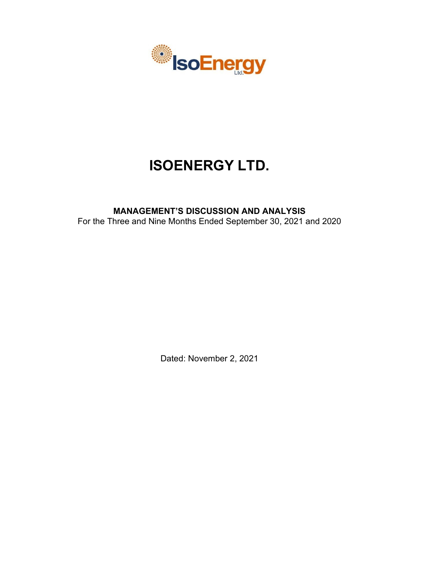

# **ISOENERGY LTD.**

# **MANAGEMENT'S DISCUSSION AND ANALYSIS** For the Three and Nine Months Ended September 30, 2021 and 2020

Dated: November 2, 2021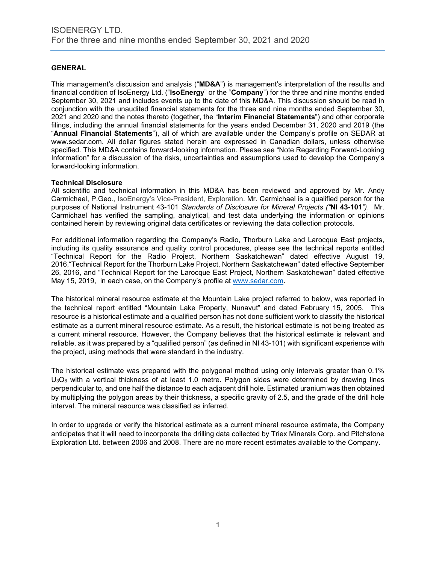# **GENERAL**

This management's discussion and analysis ("**MD&A**") is management's interpretation of the results and financial condition of IsoEnergy Ltd. ("**IsoEnergy**" or the "**Company**") for the three and nine months ended September 30, 2021 and includes events up to the date of this MD&A. This discussion should be read in conjunction with the unaudited financial statements for the three and nine months ended September 30, 2021 and 2020 and the notes thereto (together, the "**Interim Financial Statements**") and other corporate filings, including the annual financial statements for the years ended December 31, 2020 and 2019 (the "**Annual Financial Statements**"), all of which are available under the Company's profile on SEDAR at www.sedar.com. All dollar figures stated herein are expressed in Canadian dollars, unless otherwise specified. This MD&A contains forward-looking information. Please see "Note Regarding Forward-Looking Information" for a discussion of the risks, uncertainties and assumptions used to develop the Company's forward-looking information.

# **Technical Disclosure**

All scientific and technical information in this MD&A has been reviewed and approved by Mr. Andy Carmichael, P.Geo., IsoEnergy's Vice-President, Exploration. Mr. Carmichael is a qualified person for the purposes of National Instrument 43-101 *Standards of Disclosure for Mineral Projects ("***NI 43-101***")*. Mr. Carmichael has verified the sampling, analytical, and test data underlying the information or opinions contained herein by reviewing original data certificates or reviewing the data collection protocols.

For additional information regarding the Company's Radio, Thorburn Lake and Larocque East projects, including its quality assurance and quality control procedures, please see the technical reports entitled "Technical Report for the Radio Project, Northern Saskatchewan" dated effective August 19, 2016,"Technical Report for the Thorburn Lake Project, Northern Saskatchewan" dated effective September 26, 2016, and "Technical Report for the Larocque East Project, Northern Saskatchewan" dated effective May 15, 2019, in each case, on the Company's profile at www.sedar.com.

The historical mineral resource estimate at the Mountain Lake project referred to below, was reported in the technical report entitled "Mountain Lake Property, Nunavut" and dated February 15, 2005. This resource is a historical estimate and a qualified person has not done sufficient work to classify the historical estimate as a current mineral resource estimate. As a result, the historical estimate is not being treated as a current mineral resource. However, the Company believes that the historical estimate is relevant and reliable, as it was prepared by a "qualified person" (as defined in NI 43-101) with significant experience with the project, using methods that were standard in the industry.

The historical estimate was prepared with the polygonal method using only intervals greater than 0.1%  $U_3O_8$  with a vertical thickness of at least 1.0 metre. Polygon sides were determined by drawing lines perpendicular to, and one half the distance to each adjacent drill hole. Estimated uranium was then obtained by multiplying the polygon areas by their thickness, a specific gravity of 2.5, and the grade of the drill hole interval. The mineral resource was classified as inferred.

In order to upgrade or verify the historical estimate as a current mineral resource estimate, the Company anticipates that it will need to incorporate the drilling data collected by Triex Minerals Corp. and Pitchstone Exploration Ltd. between 2006 and 2008. There are no more recent estimates available to the Company.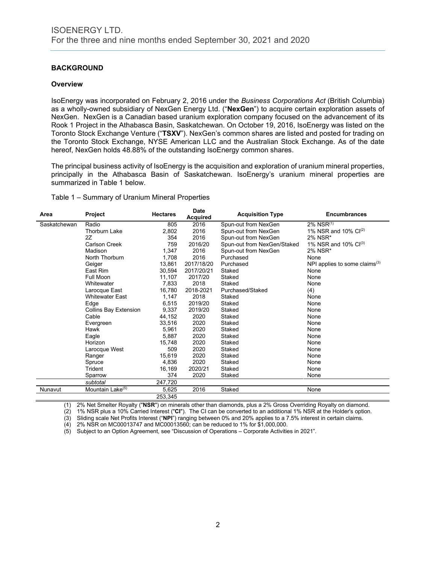# **BACKGROUND**

# **Overview**

IsoEnergy was incorporated on February 2, 2016 under the *Business Corporations Act* (British Columbia) as a wholly-owned subsidiary of NexGen Energy Ltd. ("**NexGen**") to acquire certain exploration assets of NexGen. NexGen is a Canadian based uranium exploration company focused on the advancement of its Rook 1 Project in the Athabasca Basin, Saskatchewan. On October 19, 2016, IsoEnergy was listed on the Toronto Stock Exchange Venture ("**TSXV**"). NexGen's common shares are listed and posted for trading on the Toronto Stock Exchange, NYSE American LLC and the Australian Stock Exchange. As of the date hereof, NexGen holds 48.88% of the outstanding IsoEnergy common shares.

The principal business activity of IsoEnergy is the acquisition and exploration of uranium mineral properties, principally in the Athabasca Basin of Saskatchewan. IsoEnergy's uranium mineral properties are summarized in Table 1 below.

#### Table 1 – Summary of Uranium Mineral Properties

| Area         | Project                      | <b>Hectares</b> | Date<br><b>Acquired</b> | <b>Acquisition Type</b>     | <b>Encumbrances</b>              |
|--------------|------------------------------|-----------------|-------------------------|-----------------------------|----------------------------------|
| Saskatchewan | Radio                        | 805             | 2016                    | Spun-out from NexGen        | $2\%$ NSR $^{(1)}$               |
|              | <b>Thorburn Lake</b>         | 2,802           | 2016                    | Spun-out from NexGen        | 1% NSR and 10% $Cl^{(2)}$        |
|              | 2Z                           | 354             | 2016                    | Spun-out from NexGen        | 2% NSR*                          |
|              | Carlson Creek                | 759             | 2016/20                 | Spun-out from NexGen/Staked | 1% NSR and 10% $Cl^{(3)}$        |
|              | Madison                      | 1,347           | 2016                    | Spun-out from NexGen        | 2% NSR*                          |
|              | North Thorburn               | 1,708           | 2016                    | Purchased                   | None                             |
|              | Geiger                       | 13,861          | 2017/18/20              | Purchased                   | NPI applies to some claims $(3)$ |
|              | East Rim                     | 30,594          | 2017/20/21              | Staked                      | None                             |
|              | <b>Full Moon</b>             | 11,107          | 2017/20                 | Staked                      | None                             |
|              | Whitewater                   | 7,833           | 2018                    | Staked                      | None                             |
|              | Larocque East                | 16,780          | 2018-2021               | Purchased/Staked            | (4)                              |
|              | <b>Whitewater East</b>       | 1,147           | 2018                    | Staked                      | None                             |
|              | Edge                         | 6,515           | 2019/20                 | Staked                      | None                             |
|              | <b>Collins Bay Extension</b> | 9,337           | 2019/20                 | Staked                      | None                             |
|              | Cable                        | 44,152          | 2020                    | Staked                      | None                             |
|              | Evergreen                    | 33,516          | 2020                    | Staked                      | None                             |
|              | Hawk                         | 5,961           | 2020                    | Staked                      | None                             |
|              | Eagle                        | 5,887           | 2020                    | Staked                      | None                             |
|              | Horizon                      | 15,748          | 2020                    | Staked                      | None                             |
|              | Larocque West                | 509             | 2020                    | Staked                      | None                             |
|              | Ranger                       | 15,619          | 2020                    | Staked                      | None                             |
|              | Spruce                       | 4,836           | 2020                    | Staked                      | None                             |
|              | Trident                      | 16,169          | 2020/21                 | Staked                      | None                             |
|              | Sparrow                      | 374             | 2020                    | Staked                      | None                             |
|              | subtotal                     | 247,720         |                         |                             |                                  |
| Nunavut      | Mountain Lake <sup>(5)</sup> | 5,625           | 2016                    | Staked                      | None                             |
|              |                              | 253,345         |                         |                             |                                  |

(1) 2% Net Smelter Royalty ("**NSR**") on minerals other than diamonds, plus a 2% Gross Overriding Royalty on diamond.

(2) 1% NSR plus a 10% Carried Interest ("**CI**"). The CI can be converted to an additional 1% NSR at the Holder's option.

(3) Sliding scale Net Profits Interest ("**NPI**") ranging between 0% and 20% applies to a 7.5% interest in certain claims.

(4) 2% NSR on MC00013747 and MC00013560; can be reduced to 1% for \$1,000,000.

(5) Subject to an Option Agreement, see "Discussion of Operations – Corporate Activities in 2021".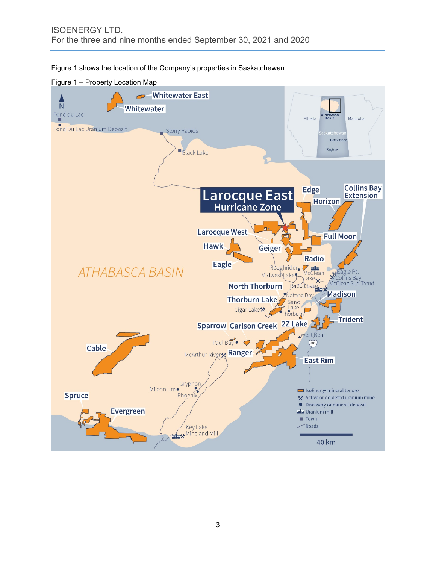Figure 1 shows the location of the Company's properties in Saskatchewan.



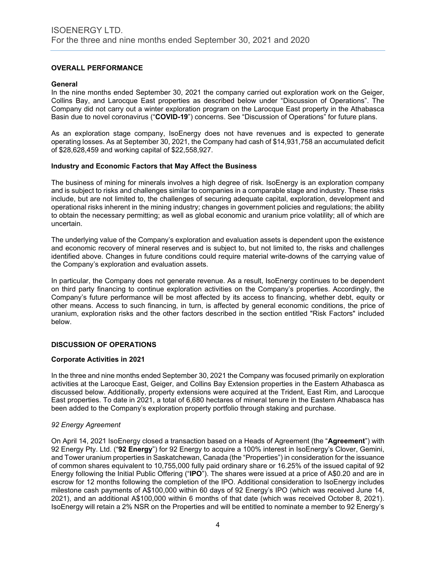# **OVERALL PERFORMANCE**

#### **General**

In the nine months ended September 30, 2021 the company carried out exploration work on the Geiger, Collins Bay, and Larocque East properties as described below under "Discussion of Operations". The Company did not carry out a winter exploration program on the Larocque East property in the Athabasca Basin due to novel coronavirus ("**COVID-19**") concerns. See "Discussion of Operations" for future plans.

As an exploration stage company, IsoEnergy does not have revenues and is expected to generate operating losses. As at September 30, 2021, the Company had cash of \$14,931,758 an accumulated deficit of \$28,628,459 and working capital of \$22,558,927.

# **Industry and Economic Factors that May Affect the Business**

The business of mining for minerals involves a high degree of risk. IsoEnergy is an exploration company and is subject to risks and challenges similar to companies in a comparable stage and industry. These risks include, but are not limited to, the challenges of securing adequate capital, exploration, development and operational risks inherent in the mining industry; changes in government policies and regulations; the ability to obtain the necessary permitting; as well as global economic and uranium price volatility; all of which are uncertain.

The underlying value of the Company's exploration and evaluation assets is dependent upon the existence and economic recovery of mineral reserves and is subject to, but not limited to, the risks and challenges identified above. Changes in future conditions could require material write-downs of the carrying value of the Company's exploration and evaluation assets.

In particular, the Company does not generate revenue. As a result, IsoEnergy continues to be dependent on third party financing to continue exploration activities on the Company's properties. Accordingly, the Company's future performance will be most affected by its access to financing, whether debt, equity or other means. Access to such financing, in turn, is affected by general economic conditions, the price of uranium, exploration risks and the other factors described in the section entitled "Risk Factors" included below.

# **DISCUSSION OF OPERATIONS**

# **Corporate Activities in 2021**

In the three and nine months ended September 30, 2021 the Company was focused primarily on exploration activities at the Larocque East, Geiger, and Collins Bay Extension properties in the Eastern Athabasca as discussed below. Additionally, property extensions were acquired at the Trident, East Rim, and Larocque East properties. To date in 2021, a total of 6,680 hectares of mineral tenure in the Eastern Athabasca has been added to the Company's exploration property portfolio through staking and purchase.

# *92 Energy Agreement*

On April 14, 2021 IsoEnergy closed a transaction based on a Heads of Agreement (the "**Agreement**") with 92 Energy Pty. Ltd. ("**92 Energy**") for 92 Energy to acquire a 100% interest in IsoEnergy's Clover, Gemini, and Tower uranium properties in Saskatchewan, Canada (the "Properties") in consideration for the issuance of common shares equivalent to 10,755,000 fully paid ordinary share or 16.25% of the issued capital of 92 Energy following the Initial Public Offering ("**IPO**"). The shares were issued at a price of A\$0.20 and are in escrow for 12 months following the completion of the IPO. Additional consideration to IsoEnergy includes milestone cash payments of A\$100,000 within 60 days of 92 Energy's IPO (which was received June 14, 2021), and an additional A\$100,000 within 6 months of that date (which was received October 8, 2021). IsoEnergy will retain a 2% NSR on the Properties and will be entitled to nominate a member to 92 Energy's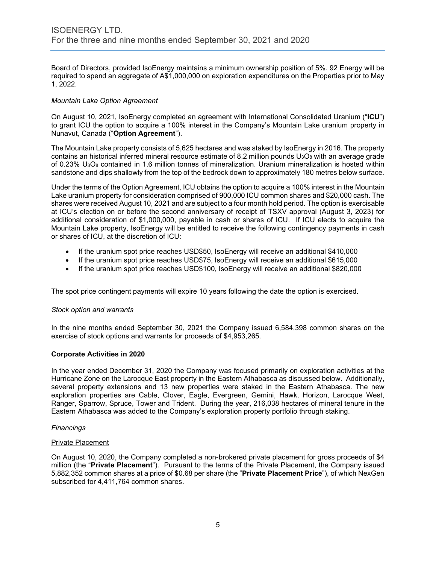Board of Directors, provided IsoEnergy maintains a minimum ownership position of 5%. 92 Energy will be required to spend an aggregate of A\$1,000,000 on exploration expenditures on the Properties prior to May 1, 2022.

# *Mountain Lake Option Agreement*

On August 10, 2021, IsoEnergy completed an agreement with International Consolidated Uranium ("**ICU**") to grant ICU the option to acquire a 100% interest in the Company's Mountain Lake uranium property in Nunavut, Canada ("**Option Agreement**").

The Mountain Lake property consists of 5,625 hectares and was staked by IsoEnergy in 2016. The property contains an historical inferred mineral resource estimate of 8.2 million pounds  $U_3O_8$  with an average grade of 0.23%  $U_3O_8$  contained in 1.6 million tonnes of mineralization. Uranium mineralization is hosted within sandstone and dips shallowly from the top of the bedrock down to approximately 180 metres below surface.

Under the terms of the Option Agreement, ICU obtains the option to acquire a 100% interest in the Mountain Lake uranium property for consideration comprised of 900,000 ICU common shares and \$20,000 cash. The shares were received August 10, 2021 and are subject to a four month hold period. The option is exercisable at ICU's election on or before the second anniversary of receipt of TSXV approval (August 3, 2023) for additional consideration of \$1,000,000, payable in cash or shares of ICU. If ICU elects to acquire the Mountain Lake property, IsoEnergy will be entitled to receive the following contingency payments in cash or shares of ICU, at the discretion of ICU:

- If the uranium spot price reaches USD\$50, IsoEnergy will receive an additional \$410,000
- If the uranium spot price reaches USD\$75, IsoEnergy will receive an additional \$615,000
- If the uranium spot price reaches USD\$100, IsoEnergy will receive an additional \$820,000

The spot price contingent payments will expire 10 years following the date the option is exercised.

# *Stock option and warrants*

In the nine months ended September 30, 2021 the Company issued 6,584,398 common shares on the exercise of stock options and warrants for proceeds of \$4,953,265.

# **Corporate Activities in 2020**

In the year ended December 31, 2020 the Company was focused primarily on exploration activities at the Hurricane Zone on the Larocque East property in the Eastern Athabasca as discussed below. Additionally, several property extensions and 13 new properties were staked in the Eastern Athabasca. The new exploration properties are Cable, Clover, Eagle, Evergreen, Gemini, Hawk, Horizon, Larocque West, Ranger, Sparrow, Spruce, Tower and Trident. During the year, 216,038 hectares of mineral tenure in the Eastern Athabasca was added to the Company's exploration property portfolio through staking.

# *Financings*

# Private Placement

On August 10, 2020, the Company completed a non-brokered private placement for gross proceeds of \$4 million (the "**Private Placement**"). Pursuant to the terms of the Private Placement, the Company issued 5,882,352 common shares at a price of \$0.68 per share (the "**Private Placement Price**"), of which NexGen subscribed for 4,411,764 common shares.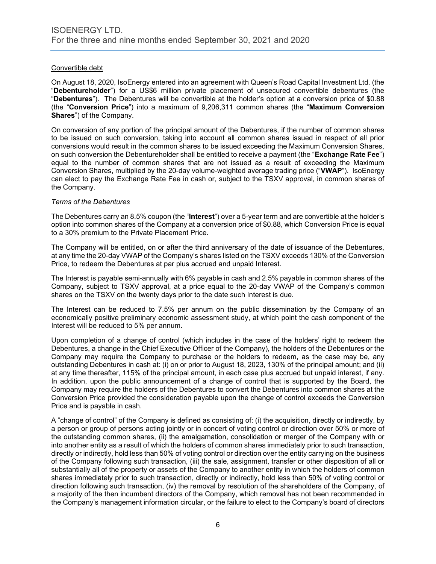# Convertible debt

On August 18, 2020, IsoEnergy entered into an agreement with Queen's Road Capital Investment Ltd. (the "**Debentureholder**") for a US\$6 million private placement of unsecured convertible debentures (the "**Debentures**"). The Debentures will be convertible at the holder's option at a conversion price of \$0.88 (the "**Conversion Price**") into a maximum of 9,206,311 common shares (the "**Maximum Conversion Shares**") of the Company.

On conversion of any portion of the principal amount of the Debentures, if the number of common shares to be issued on such conversion, taking into account all common shares issued in respect of all prior conversions would result in the common shares to be issued exceeding the Maximum Conversion Shares, on such conversion the Debentureholder shall be entitled to receive a payment (the "**Exchange Rate Fee**") equal to the number of common shares that are not issued as a result of exceeding the Maximum Conversion Shares, multiplied by the 20-day volume-weighted average trading price ("**VWAP**"). IsoEnergy can elect to pay the Exchange Rate Fee in cash or, subject to the TSXV approval, in common shares of the Company.

# *Terms of the Debentures*

The Debentures carry an 8.5% coupon (the "**Interest**") over a 5-year term and are convertible at the holder's option into common shares of the Company at a conversion price of \$0.88, which Conversion Price is equal to a 30% premium to the Private Placement Price.

The Company will be entitled, on or after the third anniversary of the date of issuance of the Debentures, at any time the 20-day VWAP of the Company's shares listed on the TSXV exceeds 130% of the Conversion Price, to redeem the Debentures at par plus accrued and unpaid Interest.

The Interest is payable semi-annually with 6% payable in cash and 2.5% payable in common shares of the Company, subject to TSXV approval, at a price equal to the 20-day VWAP of the Company's common shares on the TSXV on the twenty days prior to the date such Interest is due.

The Interest can be reduced to 7.5% per annum on the public dissemination by the Company of an economically positive preliminary economic assessment study, at which point the cash component of the Interest will be reduced to 5% per annum.

Upon completion of a change of control (which includes in the case of the holders' right to redeem the Debentures, a change in the Chief Executive Officer of the Company), the holders of the Debentures or the Company may require the Company to purchase or the holders to redeem, as the case may be, any outstanding Debentures in cash at: (i) on or prior to August 18, 2023, 130% of the principal amount; and (ii) at any time thereafter, 115% of the principal amount, in each case plus accrued but unpaid interest, if any. In addition, upon the public announcement of a change of control that is supported by the Board, the Company may require the holders of the Debentures to convert the Debentures into common shares at the Conversion Price provided the consideration payable upon the change of control exceeds the Conversion Price and is payable in cash.

A "change of control" of the Company is defined as consisting of: (i) the acquisition, directly or indirectly, by a person or group of persons acting jointly or in concert of voting control or direction over 50% or more of the outstanding common shares, (ii) the amalgamation, consolidation or merger of the Company with or into another entity as a result of which the holders of common shares immediately prior to such transaction, directly or indirectly, hold less than 50% of voting control or direction over the entity carrying on the business of the Company following such transaction, (iii) the sale, assignment, transfer or other disposition of all or substantially all of the property or assets of the Company to another entity in which the holders of common shares immediately prior to such transaction, directly or indirectly, hold less than 50% of voting control or direction following such transaction, (iv) the removal by resolution of the shareholders of the Company, of a majority of the then incumbent directors of the Company, which removal has not been recommended in the Company's management information circular, or the failure to elect to the Company's board of directors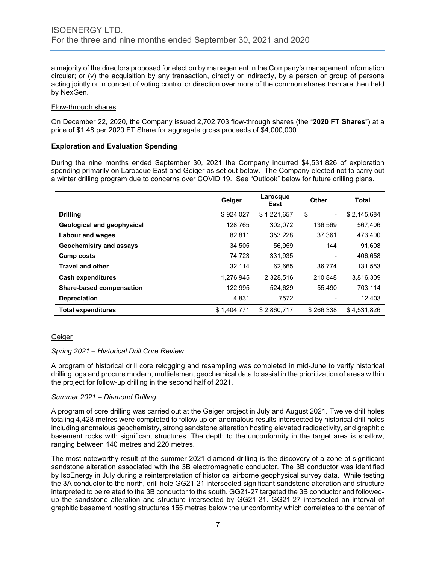a majority of the directors proposed for election by management in the Company's management information circular; or (v) the acquisition by any transaction, directly or indirectly, by a person or group of persons acting jointly or in concert of voting control or direction over more of the common shares than are then held by NexGen.

# Flow-through shares

On December 22, 2020, the Company issued 2,702,703 flow-through shares (the "**2020 FT Shares**") at a price of \$1.48 per 2020 FT Share for aggregate gross proceeds of \$4,000,000.

# **Exploration and Evaluation Spending**

During the nine months ended September 30, 2021 the Company incurred \$4,531,826 of exploration spending primarily on Larocque East and Geiger as set out below. The Company elected not to carry out a winter drilling program due to concerns over COVID 19. See "Outlook" below for future drilling plans.

|                                 | Geiger      | Larocque<br>East | <b>Other</b>         | Total       |
|---------------------------------|-------------|------------------|----------------------|-------------|
| <b>Drilling</b>                 | \$924,027   | \$1,221,657      | \$<br>$\blacksquare$ | \$2,145,684 |
| Geological and geophysical      | 128.765     | 302.072          | 136.569              | 567,406     |
| <b>Labour and wages</b>         | 82,811      | 353,228          | 37.361               | 473,400     |
| Geochemistry and assays         | 34.505      | 56.959           | 144                  | 91.608      |
| Camp costs                      | 74,723      | 331,935          |                      | 406,658     |
| <b>Travel and other</b>         | 32,114      | 62,665           | 36,774               | 131,553     |
| <b>Cash expenditures</b>        | 1,276,945   | 2,328,516        | 210,848              | 3,816,309   |
| <b>Share-based compensation</b> | 122.995     | 524.629          | 55.490               | 703,114     |
| <b>Depreciation</b>             | 4,831       | 7572             |                      | 12,403      |
| <b>Total expenditures</b>       | \$1.404.771 | \$2.860.717      | \$266.338            | \$4.531.826 |

# **Geiger**

# *Spring 2021 – Historical Drill Core Review*

A program of historical drill core relogging and resampling was completed in mid-June to verify historical drilling logs and procure modern, multielement geochemical data to assist in the prioritization of areas within the project for follow-up drilling in the second half of 2021.

# *Summer 2021 – Diamond Drilling*

A program of core drilling was carried out at the Geiger project in July and August 2021. Twelve drill holes totaling 4,428 metres were completed to follow up on anomalous results intersected by historical drill holes including anomalous geochemistry, strong sandstone alteration hosting elevated radioactivity, and graphitic basement rocks with significant structures. The depth to the unconformity in the target area is shallow, ranging between 140 metres and 220 metres.

The most noteworthy result of the summer 2021 diamond drilling is the discovery of a zone of significant sandstone alteration associated with the 3B electromagnetic conductor. The 3B conductor was identified by IsoEnergy in July during a reinterpretation of historical airborne geophysical survey data. While testing the 3A conductor to the north, drill hole GG21-21 intersected significant sandstone alteration and structure interpreted to be related to the 3B conductor to the south. GG21-27 targeted the 3B conductor and followedup the sandstone alteration and structure intersected by GG21-21. GG21-27 intersected an interval of graphitic basement hosting structures 155 metres below the unconformity which correlates to the center of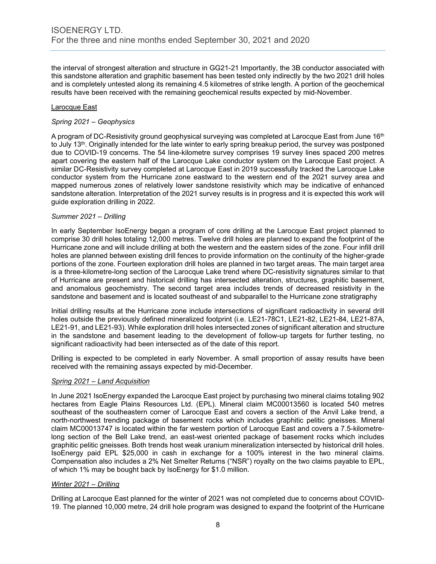the interval of strongest alteration and structure in GG21-21 Importantly, the 3B conductor associated with this sandstone alteration and graphitic basement has been tested only indirectly by the two 2021 drill holes and is completely untested along its remaining 4.5 kilometres of strike length. A portion of the geochemical results have been received with the remaining geochemical results expected by mid-November.

# Larocque East

# *Spring 2021 – Geophysics*

A program of DC-Resistivity ground geophysical surveying was completed at Larocque East from June 16<sup>th</sup> to July 13th. Originally intended for the late winter to early spring breakup period, the survey was postponed due to COVID-19 concerns. The 54 line-kilometre survey comprises 19 survey lines spaced 200 metres apart covering the eastern half of the Larocque Lake conductor system on the Larocque East project. A similar DC-Resistivity survey completed at Larocque East in 2019 successfully tracked the Larocque Lake conductor system from the Hurricane zone eastward to the western end of the 2021 survey area and mapped numerous zones of relatively lower sandstone resistivity which may be indicative of enhanced sandstone alteration. Interpretation of the 2021 survey results is in progress and it is expected this work will guide exploration drilling in 2022.

# *Summer 2021 – Drilling*

In early September IsoEnergy began a program of core drilling at the Larocque East project planned to comprise 30 drill holes totaling 12,000 metres. Twelve drill holes are planned to expand the footprint of the Hurricane zone and will include drilling at both the western and the eastern sides of the zone. Four infill drill holes are planned between existing drill fences to provide information on the continuity of the higher-grade portions of the zone. Fourteen exploration drill holes are planned in two target areas. The main target area is a three-kilometre-long section of the Larocque Lake trend where DC-resistivity signatures similar to that of Hurricane are present and historical drilling has intersected alteration, structures, graphitic basement, and anomalous geochemistry. The second target area includes trends of decreased resistivity in the sandstone and basement and is located southeast of and subparallel to the Hurricane zone stratigraphy

Initial drilling results at the Hurricane zone include intersections of significant radioactivity in several drill holes outside the previously defined mineralized footprint (i.e. LE21-78C1, LE21-82, LE21-84, LE21-87A, LE21-91, and LE21-93). While exploration drill holes intersected zones of significant alteration and structure in the sandstone and basement leading to the development of follow-up targets for further testing, no significant radioactivity had been intersected as of the date of this report.

Drilling is expected to be completed in early November. A small proportion of assay results have been received with the remaining assays expected by mid-December.

# *Spring 2021 – Land Acquisition*

In June 2021 IsoEnergy expanded the Larocque East project by purchasing two mineral claims totaling 902 hectares from Eagle Plains Resources Ltd. (EPL). Mineral claim MC00013560 is located 540 metres southeast of the southeastern corner of Larocque East and covers a section of the Anvil Lake trend, a north-northwest trending package of basement rocks which includes graphitic pelitic gneisses. Mineral claim MC00013747 is located within the far western portion of Larocque East and covers a 7.5-kilometrelong section of the Bell Lake trend, an east-west oriented package of basement rocks which includes graphitic pelitic gneisses. Both trends host weak uranium mineralization intersected by historical drill holes. IsoEnergy paid EPL \$25,000 in cash in exchange for a 100% interest in the two mineral claims. Compensation also includes a 2% Net Smelter Returns ("NSR") royalty on the two claims payable to EPL, of which 1% may be bought back by IsoEnergy for \$1.0 million.

# *Winter 2021 – Drilling*

Drilling at Larocque East planned for the winter of 2021 was not completed due to concerns about COVID-19. The planned 10,000 metre, 24 drill hole program was designed to expand the footprint of the Hurricane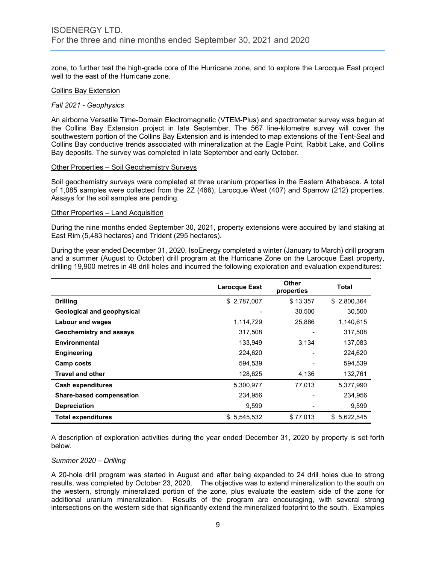zone, to further test the high-grade core of the Hurricane zone, and to explore the Larocque East project well to the east of the Hurricane zone.

#### Collins Bay Extension

#### *Fall 2021 - Geophysics*

An airborne Versatile Time-Domain Electromagnetic (VTEM-Plus) and spectrometer survey was begun at the Collins Bay Extension project in late September. The 567 line-kilometre survey will cover the southwestern portion of the Collins Bay Extension and is intended to map extensions of the Tent-Seal and Collins Bay conductive trends associated with mineralization at the Eagle Point, Rabbit Lake, and Collins Bay deposits. The survey was completed in late September and early October.

#### Other Properties – Soil Geochemistry Surveys

Soil geochemistry surveys were completed at three uranium properties in the Eastern Athabasca. A total of 1,085 samples were collected from the 2Z (466), Larocque West (407) and Sparrow (212) properties. Assays for the soil samples are pending.

#### Other Properties – Land Acquisition

During the nine months ended September 30, 2021, property extensions were acquired by land staking at East Rim (5,483 hectares) and Trident (295 hectares).

During the year ended December 31, 2020, IsoEnergy completed a winter (January to March) drill program and a summer (August to October) drill program at the Hurricane Zone on the Larocque East property, drilling 19,900 metres in 48 drill holes and incurred the following exploration and evaluation expenditures:

|                                 | <b>Larocque East</b> | Other<br>properties | <b>Total</b> |
|---------------------------------|----------------------|---------------------|--------------|
| <b>Drilling</b>                 | \$2,787,007          | \$13,357            | \$2,800,364  |
| Geological and geophysical      |                      | 30,500              | 30,500       |
| <b>Labour and wages</b>         | 1,114,729            | 25,886              | 1,140,615    |
| Geochemistry and assays         | 317,508              |                     | 317,508      |
| Environmental                   | 133,949              | 3,134               | 137,083      |
| <b>Engineering</b>              | 224,620              |                     | 224,620      |
| <b>Camp costs</b>               | 594,539              |                     | 594,539      |
| <b>Travel and other</b>         | 128,625              | 4,136               | 132,761      |
| <b>Cash expenditures</b>        | 5,300,977            | 77,013              | 5,377,990    |
| <b>Share-based compensation</b> | 234,956              |                     | 234,956      |
| <b>Depreciation</b>             | 9,599                |                     | 9,599        |
| <b>Total expenditures</b>       | \$5,545,532          | \$77,013            | \$5.622.545  |

A description of exploration activities during the year ended December 31, 2020 by property is set forth below.

#### *Summer 2020 – Drilling*

A 20-hole drill program was started in August and after being expanded to 24 drill holes due to strong results, was completed by October 23, 2020. The objective was to extend mineralization to the south on the western, strongly mineralized portion of the zone, plus evaluate the eastern side of the zone for additional uranium mineralization. Results of the program are encouraging, with several strong intersections on the western side that significantly extend the mineralized footprint to the south. Examples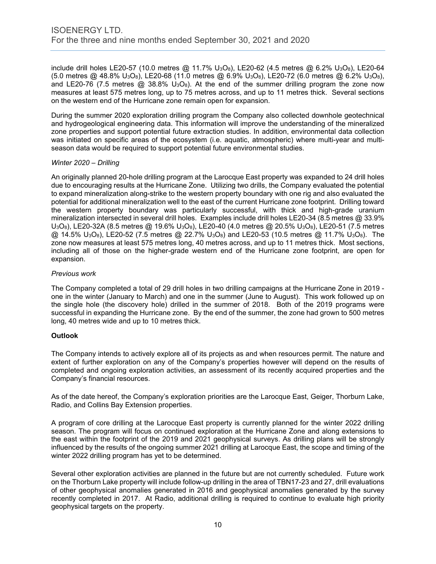include drill holes LE20-57 (10.0 metres @ 11.7% U<sub>3</sub>O<sub>8</sub>), LE20-62 (4.5 metres @ 6.2% U<sub>3</sub>O<sub>8</sub>), LE20-64 (5.0 metres @ 48.8% U3O8), LE20-68 (11.0 metres @ 6.9% U3O8), LE20-72 (6.0 metres @ 6.2% U3O8), and LE20-76 (7.5 metres  $\omega$  38.8% U<sub>3</sub>O<sub>8</sub>). At the end of the summer drilling program the zone now measures at least 575 metres long, up to 75 metres across, and up to 11 metres thick. Several sections on the western end of the Hurricane zone remain open for expansion.

During the summer 2020 exploration drilling program the Company also collected downhole geotechnical and hydrogeological engineering data. This information will improve the understanding of the mineralized zone properties and support potential future extraction studies. In addition, environmental data collection was initiated on specific areas of the ecosystem (i.e. aquatic, atmospheric) where multi-year and multiseason data would be required to support potential future environmental studies.

# *Winter 2020 – Drilling*

An originally planned 20-hole drilling program at the Larocque East property was expanded to 24 drill holes due to encouraging results at the Hurricane Zone. Utilizing two drills, the Company evaluated the potential to expand mineralization along-strike to the western property boundary with one rig and also evaluated the potential for additional mineralization well to the east of the current Hurricane zone footprint. Drilling toward the western property boundary was particularly successful, with thick and high-grade uranium mineralization intersected in several drill holes. Examples include drill holes LE20-34 (8.5 metres @ 33.9% U3O8), LE20-32A (8.5 metres @ 19.6% U3O8), LE20-40 (4.0 metres @ 20.5% U3O8), LE20-51 (7.5 metres  $\omega$  14.5% U<sub>3</sub>O<sub>8</sub>), LE20-52 (7.5 metres  $\omega$  22.7% U<sub>3</sub>O<sub>8</sub>) and LE20-53 (10.5 metres  $\omega$  11.7% U<sub>3</sub>O<sub>8</sub>). The zone now measures at least 575 metres long, 40 metres across, and up to 11 metres thick. Most sections, including all of those on the higher-grade western end of the Hurricane zone footprint, are open for expansion.

# *Previous work*

The Company completed a total of 29 drill holes in two drilling campaigns at the Hurricane Zone in 2019 one in the winter (January to March) and one in the summer (June to August). This work followed up on the single hole (the discovery hole) drilled in the summer of 2018. Both of the 2019 programs were successful in expanding the Hurricane zone. By the end of the summer, the zone had grown to 500 metres long, 40 metres wide and up to 10 metres thick.

# **Outlook**

The Company intends to actively explore all of its projects as and when resources permit. The nature and extent of further exploration on any of the Company's properties however will depend on the results of completed and ongoing exploration activities, an assessment of its recently acquired properties and the Company's financial resources.

As of the date hereof, the Company's exploration priorities are the Larocque East, Geiger, Thorburn Lake, Radio, and Collins Bay Extension properties.

A program of core drilling at the Larocque East property is currently planned for the winter 2022 drilling season. The program will focus on continued exploration at the Hurricane Zone and along extensions to the east within the footprint of the 2019 and 2021 geophysical surveys. As drilling plans will be strongly influenced by the results of the ongoing summer 2021 drilling at Larocque East, the scope and timing of the winter 2022 drilling program has yet to be determined.

Several other exploration activities are planned in the future but are not currently scheduled. Future work on the Thorburn Lake property will include follow-up drilling in the area of TBN17-23 and 27, drill evaluations of other geophysical anomalies generated in 2016 and geophysical anomalies generated by the survey recently completed in 2017. At Radio, additional drilling is required to continue to evaluate high priority geophysical targets on the property.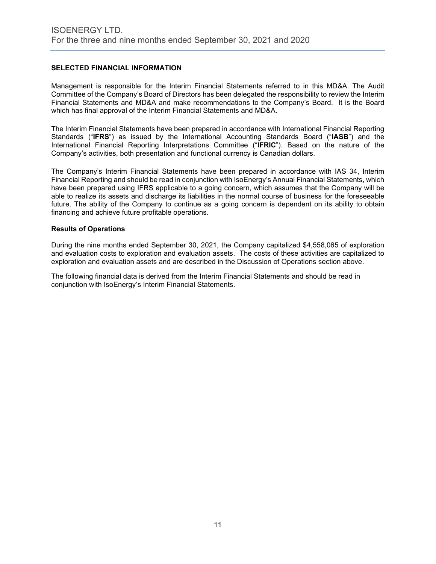# **SELECTED FINANCIAL INFORMATION**

Management is responsible for the Interim Financial Statements referred to in this MD&A. The Audit Committee of the Company's Board of Directors has been delegated the responsibility to review the Interim Financial Statements and MD&A and make recommendations to the Company's Board. It is the Board which has final approval of the Interim Financial Statements and MD&A.

The Interim Financial Statements have been prepared in accordance with International Financial Reporting Standards ("**IFRS**") as issued by the International Accounting Standards Board ("**IASB**") and the International Financial Reporting Interpretations Committee ("**IFRIC**"). Based on the nature of the Company's activities, both presentation and functional currency is Canadian dollars.

The Company's Interim Financial Statements have been prepared in accordance with IAS 34, Interim Financial Reporting and should be read in conjunction with IsoEnergy's Annual Financial Statements, which have been prepared using IFRS applicable to a going concern, which assumes that the Company will be able to realize its assets and discharge its liabilities in the normal course of business for the foreseeable future. The ability of the Company to continue as a going concern is dependent on its ability to obtain financing and achieve future profitable operations.

# **Results of Operations**

During the nine months ended September 30, 2021, the Company capitalized \$4,558,065 of exploration and evaluation costs to exploration and evaluation assets. The costs of these activities are capitalized to exploration and evaluation assets and are described in the Discussion of Operations section above.

The following financial data is derived from the Interim Financial Statements and should be read in conjunction with IsoEnergy's Interim Financial Statements.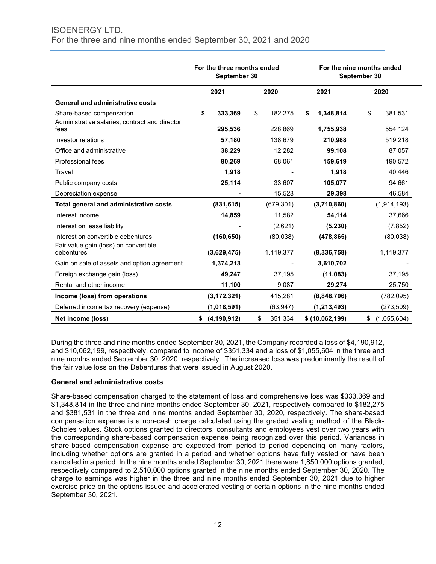|                                                                                    | For the three months ended<br>September 30 |                          | For the nine months ended<br>September 30 |                          |  |  |
|------------------------------------------------------------------------------------|--------------------------------------------|--------------------------|-------------------------------------------|--------------------------|--|--|
|                                                                                    | 2021                                       | 2020                     | 2021                                      | 2020                     |  |  |
| <b>General and administrative costs</b>                                            |                                            |                          |                                           |                          |  |  |
| Share-based compensation<br>Administrative salaries, contract and director<br>fees | \$<br>333,369<br>295,536                   | \$<br>182,275<br>228,869 | \$<br>1,348,814<br>1,755,938              | \$<br>381,531<br>554,124 |  |  |
| Investor relations                                                                 | 57,180                                     | 138,679                  | 210,988                                   | 519,218                  |  |  |
| Office and administrative                                                          | 38,229                                     | 12,282                   | 99,108                                    | 87,057                   |  |  |
| <b>Professional fees</b>                                                           | 80,269                                     | 68,061                   | 159.619                                   | 190,572                  |  |  |
| Travel                                                                             | 1,918                                      |                          | 1,918                                     | 40,446                   |  |  |
| Public company costs                                                               | 25,114                                     | 33,607                   | 105,077                                   | 94,661                   |  |  |
| Depreciation expense                                                               |                                            | 15,528                   | 29,398                                    | 46,584                   |  |  |
| Total general and administrative costs                                             | (831, 615)                                 | (679, 301)               | (3,710,860)                               | (1,914,193)              |  |  |
| Interest income                                                                    | 14,859                                     | 11,582                   | 54,114                                    | 37,666                   |  |  |
| Interest on lease liability                                                        |                                            | (2,621)                  | (5, 230)                                  | (7, 852)                 |  |  |
| Interest on convertible debentures<br>Fair value gain (loss) on convertible        | (160, 650)                                 | (80,038)                 | (478, 865)                                | (80,038)                 |  |  |
| debentures                                                                         | (3,629,475)                                | 1,119,377                | (8, 336, 758)                             | 1,119,377                |  |  |
| Gain on sale of assets and option agreement                                        | 1,374,213                                  |                          | 3,610,702                                 |                          |  |  |
| Foreign exchange gain (loss)                                                       | 49,247                                     | 37,195                   | (11,083)                                  | 37,195                   |  |  |
| Rental and other income                                                            | 11,100                                     | 9,087                    | 29,274                                    | 25,750                   |  |  |
| Income (loss) from operations                                                      | (3, 172, 321)                              | 415,281                  | (8,848,706)                               | (782,095)                |  |  |
| Deferred income tax recovery (expense)                                             | (1,018,591)                                | (63, 947)                | (1, 213, 493)                             | (273, 509)               |  |  |
| Net income (loss)                                                                  | \$ (4, 190, 912)                           | \$<br>351,334            | \$ (10,062,199)                           | \$<br>(1,055,604)        |  |  |

During the three and nine months ended September 30, 2021, the Company recorded a loss of \$4,190,912, and \$10,062,199, respectively, compared to income of \$351,334 and a loss of \$1,055,604 in the three and nine months ended September 30, 2020, respectively. The increased loss was predominantly the result of the fair value loss on the Debentures that were issued in August 2020.

# **General and administrative costs**

Share-based compensation charged to the statement of loss and comprehensive loss was \$333,369 and \$1,348,814 in the three and nine months ended September 30, 2021, respectively compared to \$182,275 and \$381,531 in the three and nine months ended September 30, 2020, respectively. The share-based compensation expense is a non-cash charge calculated using the graded vesting method of the Black-Scholes values. Stock options granted to directors, consultants and employees vest over two years with the corresponding share-based compensation expense being recognized over this period. Variances in share-based compensation expense are expected from period to period depending on many factors, including whether options are granted in a period and whether options have fully vested or have been cancelled in a period. In the nine months ended September 30, 2021 there were 1,850,000 options granted, respectively compared to 2,510,000 options granted in the nine months ended September 30, 2020. The charge to earnings was higher in the three and nine months ended September 30, 2021 due to higher exercise price on the options issued and accelerated vesting of certain options in the nine months ended September 30, 2021.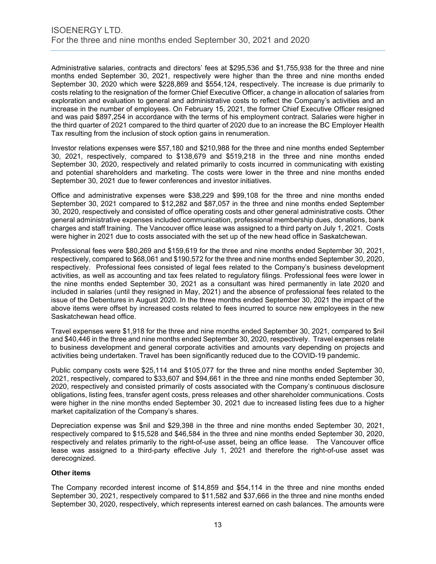Administrative salaries, contracts and directors' fees at \$295,536 and \$1,755,938 for the three and nine months ended September 30, 2021, respectively were higher than the three and nine months ended September 30, 2020 which were \$228,869 and \$554,124, respectively. The increase is due primarily to costs relating to the resignation of the former Chief Executive Officer, a change in allocation of salaries from exploration and evaluation to general and administrative costs to reflect the Company's activities and an increase in the number of employees. On February 15, 2021, the former Chief Executive Officer resigned and was paid \$897,254 in accordance with the terms of his employment contract. Salaries were higher in the third quarter of 2021 compared to the third quarter of 2020 due to an increase the BC Employer Health Tax resulting from the inclusion of stock option gains in renumeration.

Investor relations expenses were \$57,180 and \$210,988 for the three and nine months ended September 30, 2021, respectively, compared to \$138,679 and \$519,218 in the three and nine months ended September 30, 2020, respectively and related primarily to costs incurred in communicating with existing and potential shareholders and marketing. The costs were lower in the three and nine months ended September 30, 2021 due to fewer conferences and investor initiatives.

Office and administrative expenses were \$38,229 and \$99,108 for the three and nine months ended September 30, 2021 compared to \$12,282 and \$87,057 in the three and nine months ended September 30, 2020, respectively and consisted of office operating costs and other general administrative costs. Other general administrative expenses included communication, professional membership dues, donations, bank charges and staff training. The Vancouver office lease was assigned to a third party on July 1, 2021. Costs were higher in 2021 due to costs associated with the set up of the new head office in Saskatchewan.

Professional fees were \$80,269 and \$159,619 for the three and nine months ended September 30, 2021, respectively, compared to \$68,061 and \$190,572 for the three and nine months ended September 30, 2020, respectively. Professional fees consisted of legal fees related to the Company's business development activities, as well as accounting and tax fees related to regulatory filings. Professional fees were lower in the nine months ended September 30, 2021 as a consultant was hired permanently in late 2020 and included in salaries (until they resigned in May, 2021) and the absence of professional fees related to the issue of the Debentures in August 2020. In the three months ended September 30, 2021 the impact of the above items were offset by increased costs related to fees incurred to source new employees in the new Saskatchewan head office.

Travel expenses were \$1,918 for the three and nine months ended September 30, 2021, compared to \$nil and \$40,446 in the three and nine months ended September 30, 2020, respectively. Travel expenses relate to business development and general corporate activities and amounts vary depending on projects and activities being undertaken. Travel has been significantly reduced due to the COVID-19 pandemic.

Public company costs were \$25,114 and \$105,077 for the three and nine months ended September 30, 2021, respectively, compared to \$33,607 and \$94,661 in the three and nine months ended September 30, 2020, respectively and consisted primarily of costs associated with the Company's continuous disclosure obligations, listing fees, transfer agent costs, press releases and other shareholder communications. Costs were higher in the nine months ended September 30, 2021 due to increased listing fees due to a higher market capitalization of the Company's shares.

Depreciation expense was \$nil and \$29,398 in the three and nine months ended September 30, 2021, respectively compared to \$15,528 and \$46,584 in the three and nine months ended September 30, 2020, respectively and relates primarily to the right-of-use asset, being an office lease. The Vancouver office lease was assigned to a third-party effective July 1, 2021 and therefore the right-of-use asset was derecognized.

# **Other items**

The Company recorded interest income of \$14,859 and \$54,114 in the three and nine months ended September 30, 2021, respectively compared to \$11,582 and \$37,666 in the three and nine months ended September 30, 2020, respectively, which represents interest earned on cash balances. The amounts were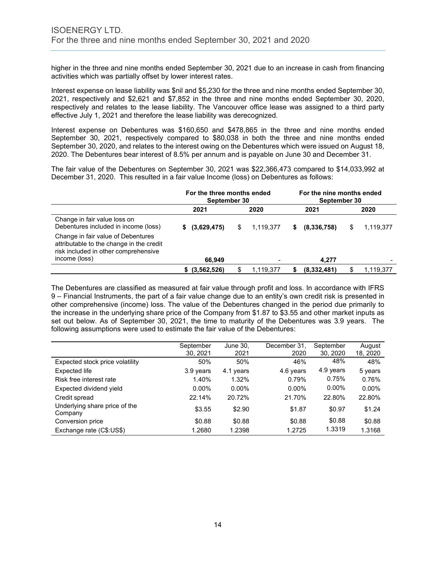higher in the three and nine months ended September 30, 2021 due to an increase in cash from financing activities which was partially offset by lower interest rates.

Interest expense on lease liability was \$nil and \$5,230 for the three and nine months ended September 30, 2021, respectively and \$2,621 and \$7,852 in the three and nine months ended September 30, 2020, respectively and relates to the lease liability. The Vancouver office lease was assigned to a third party effective July 1, 2021 and therefore the lease liability was derecognized.

Interest expense on Debentures was \$160,650 and \$478,865 in the three and nine months ended September 30, 2021, respectively compared to \$80,038 in both the three and nine months ended September 30, 2020, and relates to the interest owing on the Debentures which were issued on August 18, 2020. The Debentures bear interest of 8.5% per annum and is payable on June 30 and December 31.

The fair value of the Debentures on September 30, 2021 was \$22,366,473 compared to \$14,033,992 at December 31, 2020. This resulted in a fair value Income (loss) on Debentures as follows:

|                                                                                                                                         | For the three months ended<br>September 30 |                 | For the nine months ended<br>September 30 |                |  |  |
|-----------------------------------------------------------------------------------------------------------------------------------------|--------------------------------------------|-----------------|-------------------------------------------|----------------|--|--|
|                                                                                                                                         | 2021                                       | 2020            | 2021                                      | 2020           |  |  |
| Change in fair value loss on<br>Debentures included in income (loss)                                                                    | (3,629,475)<br>S.                          | 1,119,377<br>\$ | (8,336,758)<br>S.                         | 1,119,377<br>S |  |  |
| Change in fair value of Debentures<br>attributable to the change in the credit<br>risk included in other comprehensive<br>income (loss) | 66.949                                     |                 | 4.277                                     |                |  |  |
|                                                                                                                                         | $$^{(3,562,526)}$$                         | 1,119,377<br>S  | (8,332,481)                               | 1.119.377      |  |  |

The Debentures are classified as measured at fair value through profit and loss. In accordance with IFRS 9 – Financial Instruments, the part of a fair value change due to an entity's own credit risk is presented in other comprehensive (income) loss. The value of the Debentures changed in the period due primarily to the increase in the underlying share price of the Company from \$1.87 to \$3.55 and other market inputs as set out below. As of September 30, 2021, the time to maturity of the Debentures was 3.9 years. The following assumptions were used to estimate the fair value of the Debentures:

|                                          | September | June 30,  | December 31. | September | August   |
|------------------------------------------|-----------|-----------|--------------|-----------|----------|
|                                          | 30, 2021  | 2021      | 2020         | 30, 2020  | 18, 2020 |
| Expected stock price volatility          | 50%       | 50%       | 46%          | 48%       | 48%      |
| Expected life                            | 3.9 years | 4.1 years | 4.6 years    | 4.9 years | 5 years  |
| Risk free interest rate                  | 1.40%     | 1.32%     | 0.79%        | 0.75%     | 0.76%    |
| Expected dividend yield                  | $0.00\%$  | $0.00\%$  | $0.00\%$     | $0.00\%$  | $0.00\%$ |
| Credit spread                            | 22.14%    | 20.72%    | 21.70%       | 22.80%    | 22.80%   |
| Underlying share price of the<br>Company | \$3.55    | \$2.90    | \$1.87       | \$0.97    | \$1.24   |
| Conversion price                         | \$0.88    | \$0.88    | \$0.88       | \$0.88    | \$0.88   |
| Exchange rate (C\$:US\$)                 | 1.2680    | 1.2398    | 1.2725       | 1.3319    | 1.3168   |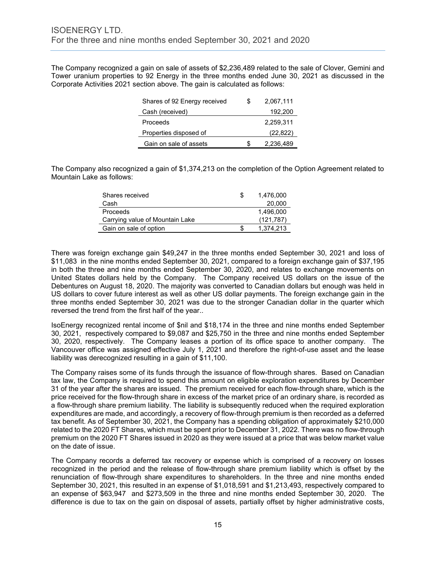The Company recognized a gain on sale of assets of \$2,236,489 related to the sale of Clover, Gemini and Tower uranium properties to 92 Energy in the three months ended June 30, 2021 as discussed in the Corporate Activities 2021 section above. The gain is calculated as follows:

| Shares of 92 Energy received | S | 2,067,111 |
|------------------------------|---|-----------|
| Cash (received)              |   | 192,200   |
| Proceeds                     |   | 2.259.311 |
| Properties disposed of       |   | (22, 822) |
| Gain on sale of assets       |   | 2,236,489 |

The Company also recognized a gain of \$1,374,213 on the completion of the Option Agreement related to Mountain Lake as follows:

| Shares received                 | S | 1.476.000  |
|---------------------------------|---|------------|
| Cash                            |   | 20,000     |
| Proceeds                        |   | 1.496.000  |
| Carrying value of Mountain Lake |   | (121, 787) |
| Gain on sale of option          |   | 1.374.213  |

There was foreign exchange gain \$49,247 in the three months ended September 30, 2021 and loss of \$11,083 in the nine months ended September 30, 2021, compared to a foreign exchange gain of \$37,195 in both the three and nine months ended September 30, 2020, and relates to exchange movements on United States dollars held by the Company. The Company received US dollars on the issue of the Debentures on August 18, 2020. The majority was converted to Canadian dollars but enough was held in US dollars to cover future interest as well as other US dollar payments. The foreign exchange gain in the three months ended September 30, 2021 was due to the stronger Canadian dollar in the quarter which reversed the trend from the first half of the year..

IsoEnergy recognized rental income of \$nil and \$18,174 in the three and nine months ended September 30, 2021, respectively compared to \$9,087 and \$25,750 in the three and nine months ended September 30, 2020, respectively. The Company leases a portion of its office space to another company. The Vancouver office was assigned effective July 1, 2021 and therefore the right-of-use asset and the lease liability was derecognized resulting in a gain of \$11,100.

The Company raises some of its funds through the issuance of flow-through shares. Based on Canadian tax law, the Company is required to spend this amount on eligible exploration expenditures by December 31 of the year after the shares are issued. The premium received for each flow-through share, which is the price received for the flow-through share in excess of the market price of an ordinary share, is recorded as a flow-through share premium liability. The liability is subsequently reduced when the required exploration expenditures are made, and accordingly, a recovery of flow-through premium is then recorded as a deferred tax benefit. As of September 30, 2021, the Company has a spending obligation of approximately \$210,000 related to the 2020 FT Shares, which must be spent prior to December 31, 2022. There was no flow-through premium on the 2020 FT Shares issued in 2020 as they were issued at a price that was below market value on the date of issue.

The Company records a deferred tax recovery or expense which is comprised of a recovery on losses recognized in the period and the release of flow-through share premium liability which is offset by the renunciation of flow-through share expenditures to shareholders. In the three and nine months ended September 30, 2021, this resulted in an expense of \$1,018,591 and \$1,213,493, respectively compared to an expense of \$63,947 and \$273,509 in the three and nine months ended September 30, 2020. The difference is due to tax on the gain on disposal of assets, partially offset by higher administrative costs,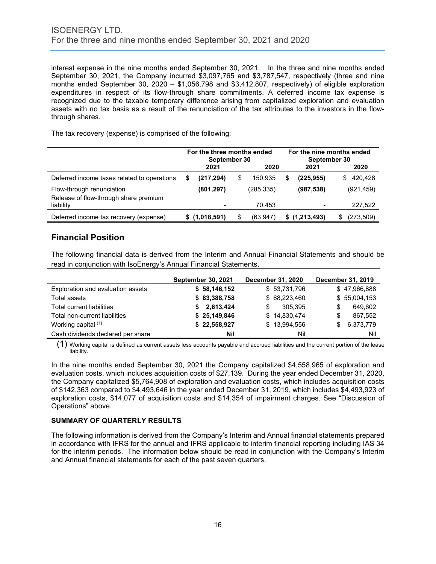interest expense in the nine months ended September 30, 2021. In the three and nine months ended September 30, 2021, the Company incurred \$3,097,765 and \$3,787,547, respectively (three and nine months ended September 30, 2020 – \$1,056,798 and \$3,412,807, respectively) of eligible exploration expenditures in respect of its flow-through share commitments. A deferred income tax expense is recognized due to the taxable temporary difference arising from capitalized exploration and evaluation assets with no tax basis as a result of the renunciation of the tax attributes to the investors in the flowthrough shares.

The tax recovery (expense) is comprised of the following:

|                                                                    | For the three months ended<br>September 30 |               |   |            | For the nine months ended<br>September 30 |                          |    |            |
|--------------------------------------------------------------------|--------------------------------------------|---------------|---|------------|-------------------------------------------|--------------------------|----|------------|
|                                                                    |                                            | 2021          |   | 2020       |                                           | 2021                     |    | 2020       |
| Deferred income taxes related to operations                        |                                            | (217,294)     | S | 150.935    | \$                                        | (225,955)                | S. | 420,428    |
| Flow-through renunciation<br>Release of flow-through share premium |                                            | (801, 297)    |   | (285, 335) |                                           | (987, 538)               |    | (921, 459) |
| liability                                                          |                                            |               |   | 70.453     |                                           | $\overline{\phantom{0}}$ |    | 227,522    |
| Deferred income tax recovery (expense)                             |                                            | \$(1,018,591) |   | (63, 947)  |                                           | \$(1,213,493)            |    | (273,509)  |

# **Financial Position**

The following financial data is derived from the Interim and Annual Financial Statements and should be read in conjunction with IsoEnergy's Annual Financial Statements.

|                                   | <b>September 30, 2021</b> | <b>December 31, 2020</b> | December 31, 2019 |
|-----------------------------------|---------------------------|--------------------------|-------------------|
| Exploration and evaluation assets | \$58,146,152              | \$53,731,796             | \$47,966,888      |
| Total assets                      | \$83,388,758              | \$68,223,460             | \$55,004,153      |
| Total current liabilities         | \$2,613,424               | 305.395<br>S             | 649.602<br>S      |
| Total non-current liabilities     | \$25,149,846              | \$14,830,474             | 867,552<br>S      |
| Working capital (1)               | \$22,558,927              | \$13,994,556             | 6,373,779<br>£.   |
| Cash dividends declared per share | Nil                       | Nil                      | Nil               |

 $(1)$  Working capital is defined as current assets less accounts payable and accrued liabilities and the current portion of the lease liability.

In the nine months ended September 30, 2021 the Company capitalized \$4,558,965 of exploration and evaluation costs, which includes acquisition costs of \$27,139. During the year ended December 31, 2020, the Company capitalized \$5,764,908 of exploration and evaluation costs, which includes acquisition costs of \$142,363 compared to \$4,493,646 in the year ended December 31, 2019, which includes \$4,493,923 of exploration costs, \$14,077 of acquisition costs and \$14,354 of impairment charges. See "Discussion of Operations" above.

# **SUMMARY OF QUARTERLY RESULTS**

The following information is derived from the Company's Interim and Annual financial statements prepared in accordance with IFRS for the annual and IFRS applicable to interim financial reporting including IAS 34 for the interim periods. The information below should be read in conjunction with the Company's Interim and Annual financial statements for each of the past seven quarters.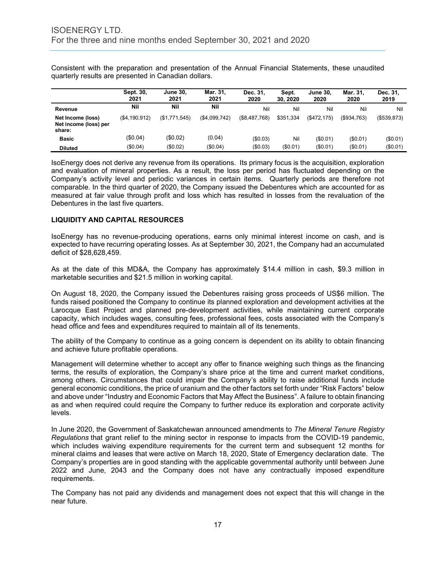Consistent with the preparation and presentation of the Annual Financial Statements, these unaudited quarterly results are presented in Canadian dollars.

|                                                      | Sept. 30,<br>2021 | <b>June 30.</b><br>2021 | Mar. 31.<br>2021 | Dec. 31.<br>2020 | Sept.<br>30.2020 | <b>June 30.</b><br>2020 | Mar. 31.<br>2020 | Dec. 31.<br>2019 |
|------------------------------------------------------|-------------------|-------------------------|------------------|------------------|------------------|-------------------------|------------------|------------------|
| Revenue                                              | Nil               | Nil                     | Nil              | Nil              | Nil              | Nil                     | Nil              | Nil              |
| Net Income (loss)<br>Net income (loss) per<br>share: | (S4.190.912)      | (\$1,771,545)           | (\$4,099,742)    | (\$8,487,768)    | \$351.334        | (S472.175)              | (\$934,763)      | (\$539.873)      |
| <b>Basic</b>                                         | (\$0.04)          | (\$0.02)                | (0.04)           | (\$0.03)         | Nil              | (\$0.01)                | (S0.01)          | (S0.01)          |
| <b>Diluted</b>                                       | (\$0.04)          | (\$0.02)                | (\$0.04)         | (\$0.03)         | (\$0.01)         | (\$0.01)                | (\$0.01)         | (\$0.01)         |

IsoEnergy does not derive any revenue from its operations. Its primary focus is the acquisition, exploration and evaluation of mineral properties. As a result, the loss per period has fluctuated depending on the Company's activity level and periodic variances in certain items. Quarterly periods are therefore not comparable. In the third quarter of 2020, the Company issued the Debentures which are accounted for as measured at fair value through profit and loss which has resulted in losses from the revaluation of the Debentures in the last five quarters.

# **LIQUIDITY AND CAPITAL RESOURCES**

IsoEnergy has no revenue-producing operations, earns only minimal interest income on cash, and is expected to have recurring operating losses. As at September 30, 2021, the Company had an accumulated deficit of \$28,628,459.

As at the date of this MD&A, the Company has approximately \$14.4 million in cash, \$9.3 million in marketable securities and \$21.5 million in working capital.

On August 18, 2020, the Company issued the Debentures raising gross proceeds of US\$6 million. The funds raised positioned the Company to continue its planned exploration and development activities at the Larocque East Project and planned pre-development activities, while maintaining current corporate capacity, which includes wages, consulting fees, professional fees, costs associated with the Company's head office and fees and expenditures required to maintain all of its tenements.

The ability of the Company to continue as a going concern is dependent on its ability to obtain financing and achieve future profitable operations.

Management will determine whether to accept any offer to finance weighing such things as the financing terms, the results of exploration, the Company's share price at the time and current market conditions, among others. Circumstances that could impair the Company's ability to raise additional funds include general economic conditions, the price of uranium and the other factors set forth under "Risk Factors" below and above under "Industry and Economic Factors that May Affect the Business". A failure to obtain financing as and when required could require the Company to further reduce its exploration and corporate activity levels.

In June 2020, the Government of Saskatchewan announced amendments to *The Mineral Tenure Registry Regulations* that grant relief to the mining sector in response to impacts from the COVID-19 pandemic, which includes waiving expenditure requirements for the current term and subsequent 12 months for mineral claims and leases that were active on March 18, 2020, State of Emergency declaration date. The Company's properties are in good standing with the applicable governmental authority until between June 2022 and June, 2043 and the Company does not have any contractually imposed expenditure requirements.

The Company has not paid any dividends and management does not expect that this will change in the near future.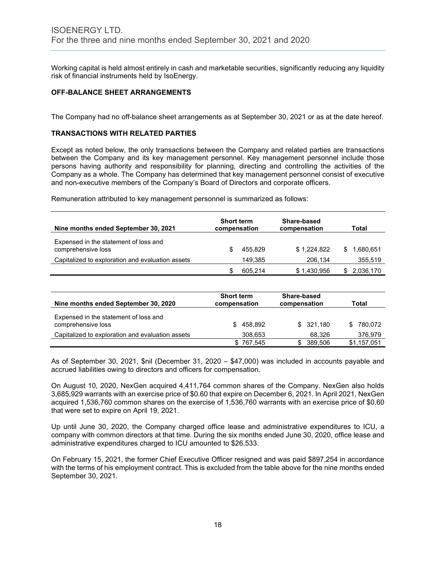Working capital is held almost entirely in cash and marketable securities, significantly reducing any liquidity risk of financial instruments held by IsoEnergy.

# **OFF-BALANCE SHEET ARRANGEMENTS**

The Company had no off-balance sheet arrangements as at September 30, 2021 or as at the date hereof.

# **TRANSACTIONS WITH RELATED PARTIES**

Except as noted below, the only transactions between the Company and related parties are transactions between the Company and its key management personnel. Key management personnel include those persons having authority and responsibility for planning, directing and controlling the activities of the Company as a whole. The Company has determined that key management personnel consist of executive and non-executive members of the Company's Board of Directors and corporate officers.

Remuneration attributed to key management personnel is summarized as follows:

| Nine months ended September 30, 2021                        |   | <b>Short term</b><br>compensation | Share-based<br>compensation |    | Total        |
|-------------------------------------------------------------|---|-----------------------------------|-----------------------------|----|--------------|
| Expensed in the statement of loss and<br>comprehensive loss |   | 455.829                           | \$1,224,822                 | S. | 1,680,651    |
| Capitalized to exploration and evaluation assets            |   | 149.385                           | 206.134                     |    | 355,519      |
|                                                             | S | 605,214                           | \$1,430,956                 |    | \$ 2,036,170 |

| Nine months ended September 30, 2020                        | <b>Short term</b><br>compensation | Share-based<br>compensation | Total       |
|-------------------------------------------------------------|-----------------------------------|-----------------------------|-------------|
| Expensed in the statement of loss and<br>comprehensive loss | 458.892<br>SS.                    | \$321.180                   | \$780.072   |
| Capitalized to exploration and evaluation assets            | 308,653                           | 68.326                      | 376.979     |
|                                                             | \$767.545                         | 389.506                     | \$1,157,051 |

As of September 30, 2021, \$nil (December 31, 2020 – \$47,000) was included in accounts payable and accrued liabilities owing to directors and officers for compensation.

On August 10, 2020, NexGen acquired 4,411,764 common shares of the Company. NexGen also holds 3,685,929 warrants with an exercise price of \$0.60 that expire on December 6, 2021. In April 2021, NexGen acquired 1,536,760 common shares on the exercise of 1,536,760 warrants with an exercise price of \$0.60 that were set to expire on April 19, 2021.

Up until June 30, 2020, the Company charged office lease and administrative expenditures to ICU, a company with common directors at that time. During the six months ended June 30, 2020, office lease and administrative expenditures charged to ICU amounted to \$26,533.

On February 15, 2021, the former Chief Executive Officer resigned and was paid \$897,254 in accordance with the terms of his employment contract. This is excluded from the table above for the nine months ended September 30, 2021.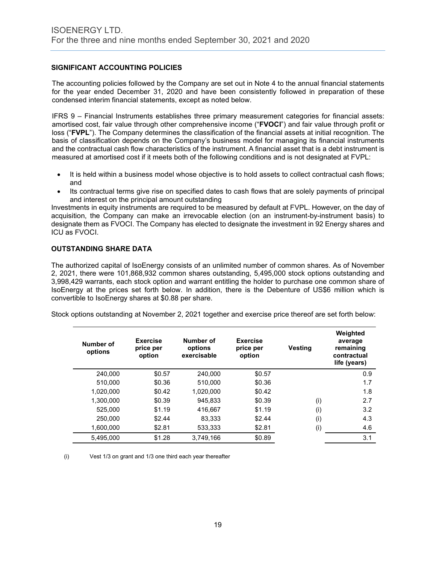# **SIGNIFICANT ACCOUNTING POLICIES**

The accounting policies followed by the Company are set out in Note 4 to the annual financial statements for the year ended December 31, 2020 and have been consistently followed in preparation of these condensed interim financial statements, except as noted below.

IFRS 9 – Financial Instruments establishes three primary measurement categories for financial assets: amortised cost, fair value through other comprehensive income ("**FVOCI**") and fair value through profit or loss ("**FVPL**"). The Company determines the classification of the financial assets at initial recognition. The basis of classification depends on the Company's business model for managing its financial instruments and the contractual cash flow characteristics of the instrument. A financial asset that is a debt instrument is measured at amortised cost if it meets both of the following conditions and is not designated at FVPL:

- It is held within a business model whose objective is to hold assets to collect contractual cash flows; and
- Its contractual terms give rise on specified dates to cash flows that are solely payments of principal and interest on the principal amount outstanding

Investments in equity instruments are required to be measured by default at FVPL. However, on the day of acquisition, the Company can make an irrevocable election (on an instrument-by-instrument basis) to designate them as FVOCI. The Company has elected to designate the investment in 92 Energy shares and ICU as FVOCI.

# **OUTSTANDING SHARE DATA**

The authorized capital of IsoEnergy consists of an unlimited number of common shares. As of November 2, 2021, there were 101,868,932 common shares outstanding, 5,495,000 stock options outstanding and 3,998,429 warrants, each stock option and warrant entitling the holder to purchase one common share of IsoEnergy at the prices set forth below. In addition, there is the Debenture of US\$6 million which is convertible to IsoEnergy shares at \$0.88 per share.

Stock options outstanding at November 2, 2021 together and exercise price thereof are set forth below:

| Number of<br>options | <b>Exercise</b><br>price per<br>option | Number of<br>options<br>exercisable | <b>Exercise</b><br>price per<br>option | Vesting | Weighted<br>average<br>remaining<br>contractual<br>life (years) |
|----------------------|----------------------------------------|-------------------------------------|----------------------------------------|---------|-----------------------------------------------------------------|
| 240.000              | \$0.57                                 | 240.000                             | \$0.57                                 |         | 0.9                                                             |
| 510.000              | \$0.36                                 | 510.000                             | \$0.36                                 |         | 1.7                                                             |
| 1.020.000            | \$0.42                                 | 1.020.000                           | \$0.42                                 |         | 1.8                                                             |
| 1.300.000            | \$0.39                                 | 945.833                             | \$0.39                                 | (i)     | 2.7                                                             |
| 525.000              | \$1.19                                 | 416.667                             | \$1.19                                 | (i)     | 3.2                                                             |
| 250.000              | \$2.44                                 | 83.333                              | \$2.44                                 | (i)     | 4.3                                                             |
| 1.600.000            | \$2.81                                 | 533.333                             | \$2.81                                 | (i)     | 4.6                                                             |
| 5,495,000            | \$1.28                                 | 3,749,166                           | \$0.89                                 |         | 3.1                                                             |

(i) Vest 1/3 on grant and 1/3 one third each year thereafter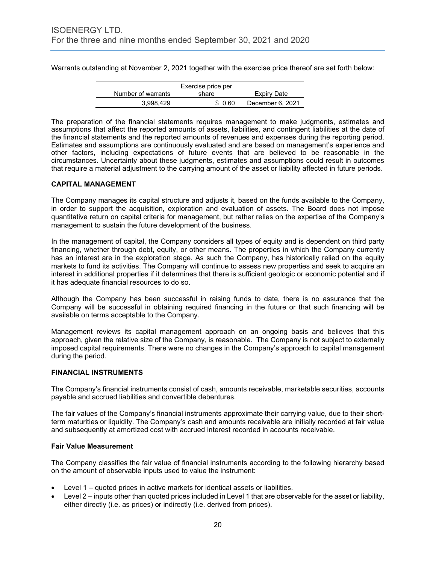Warrants outstanding at November 2, 2021 together with the exercise price thereof are set forth below:

| Exercise price per |         |                  |  |  |
|--------------------|---------|------------------|--|--|
| Number of warrants | share   | Expiry Date      |  |  |
| 3.998.429          | \$ 0.60 | December 6, 2021 |  |  |

The preparation of the financial statements requires management to make judgments, estimates and assumptions that affect the reported amounts of assets, liabilities, and contingent liabilities at the date of the financial statements and the reported amounts of revenues and expenses during the reporting period. Estimates and assumptions are continuously evaluated and are based on management's experience and other factors, including expectations of future events that are believed to be reasonable in the circumstances. Uncertainty about these judgments, estimates and assumptions could result in outcomes that require a material adjustment to the carrying amount of the asset or liability affected in future periods.

# **CAPITAL MANAGEMENT**

The Company manages its capital structure and adjusts it, based on the funds available to the Company, in order to support the acquisition, exploration and evaluation of assets. The Board does not impose quantitative return on capital criteria for management, but rather relies on the expertise of the Company's management to sustain the future development of the business.

In the management of capital, the Company considers all types of equity and is dependent on third party financing, whether through debt, equity, or other means. The properties in which the Company currently has an interest are in the exploration stage. As such the Company, has historically relied on the equity markets to fund its activities. The Company will continue to assess new properties and seek to acquire an interest in additional properties if it determines that there is sufficient geologic or economic potential and if it has adequate financial resources to do so.

Although the Company has been successful in raising funds to date, there is no assurance that the Company will be successful in obtaining required financing in the future or that such financing will be available on terms acceptable to the Company.

Management reviews its capital management approach on an ongoing basis and believes that this approach, given the relative size of the Company, is reasonable. The Company is not subject to externally imposed capital requirements. There were no changes in the Company's approach to capital management during the period.

# **FINANCIAL INSTRUMENTS**

The Company's financial instruments consist of cash, amounts receivable, marketable securities, accounts payable and accrued liabilities and convertible debentures.

The fair values of the Company's financial instruments approximate their carrying value, due to their shortterm maturities or liquidity. The Company's cash and amounts receivable are initially recorded at fair value and subsequently at amortized cost with accrued interest recorded in accounts receivable.

# **Fair Value Measurement**

The Company classifies the fair value of financial instruments according to the following hierarchy based on the amount of observable inputs used to value the instrument:

- Level 1 quoted prices in active markets for identical assets or liabilities.
- Level 2 inputs other than quoted prices included in Level 1 that are observable for the asset or liability, either directly (i.e. as prices) or indirectly (i.e. derived from prices).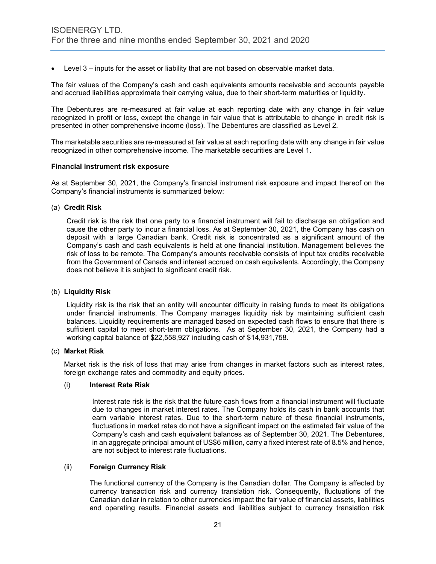• Level 3 – inputs for the asset or liability that are not based on observable market data.

The fair values of the Company's cash and cash equivalents amounts receivable and accounts payable and accrued liabilities approximate their carrying value, due to their short-term maturities or liquidity.

The Debentures are re-measured at fair value at each reporting date with any change in fair value recognized in profit or loss, except the change in fair value that is attributable to change in credit risk is presented in other comprehensive income (loss). The Debentures are classified as Level 2.

The marketable securities are re-measured at fair value at each reporting date with any change in fair value recognized in other comprehensive income. The marketable securities are Level 1.

#### **Financial instrument risk exposure**

As at September 30, 2021, the Company's financial instrument risk exposure and impact thereof on the Company's financial instruments is summarized below:

#### (a) **Credit Risk**

Credit risk is the risk that one party to a financial instrument will fail to discharge an obligation and cause the other party to incur a financial loss. As at September 30, 2021, the Company has cash on deposit with a large Canadian bank. Credit risk is concentrated as a significant amount of the Company's cash and cash equivalents is held at one financial institution. Management believes the risk of loss to be remote. The Company's amounts receivable consists of input tax credits receivable from the Government of Canada and interest accrued on cash equivalents. Accordingly, the Company does not believe it is subject to significant credit risk.

#### (b) **Liquidity Risk**

Liquidity risk is the risk that an entity will encounter difficulty in raising funds to meet its obligations under financial instruments. The Company manages liquidity risk by maintaining sufficient cash balances. Liquidity requirements are managed based on expected cash flows to ensure that there is sufficient capital to meet short-term obligations. As at September 30, 2021, the Company had a working capital balance of \$22,558,927 including cash of \$14,931,758.

#### (c) **Market Risk**

Market risk is the risk of loss that may arise from changes in market factors such as interest rates, foreign exchange rates and commodity and equity prices.

#### (i) **Interest Rate Risk**

Interest rate risk is the risk that the future cash flows from a financial instrument will fluctuate due to changes in market interest rates. The Company holds its cash in bank accounts that earn variable interest rates. Due to the short-term nature of these financial instruments, fluctuations in market rates do not have a significant impact on the estimated fair value of the Company's cash and cash equivalent balances as of September 30, 2021. The Debentures, in an aggregate principal amount of US\$6 million, carry a fixed interest rate of 8.5% and hence, are not subject to interest rate fluctuations.

# (ii) **Foreign Currency Risk**

The functional currency of the Company is the Canadian dollar. The Company is affected by currency transaction risk and currency translation risk. Consequently, fluctuations of the Canadian dollar in relation to other currencies impact the fair value of financial assets, liabilities and operating results. Financial assets and liabilities subject to currency translation risk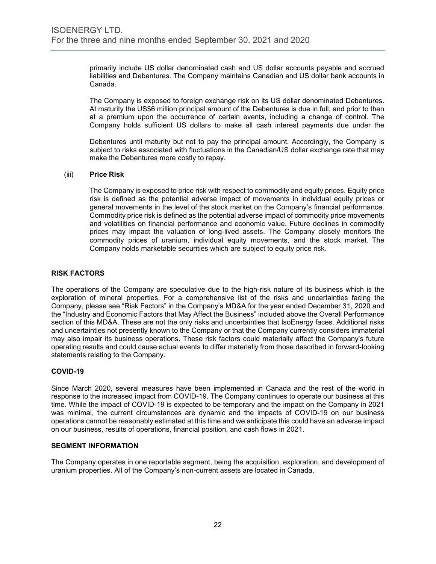primarily include US dollar denominated cash and US dollar accounts payable and accrued liabilities and Debentures. The Company maintains Canadian and US dollar bank accounts in Canada.

The Company is exposed to foreign exchange risk on its US dollar denominated Debentures. At maturity the US\$6 million principal amount of the Debentures is due in full, and prior to then at a premium upon the occurrence of certain events, including a change of control. The Company holds sufficient US dollars to make all cash interest payments due under the

Debentures until maturity but not to pay the principal amount. Accordingly, the Company is subject to risks associated with fluctuations in the Canadian/US dollar exchange rate that may make the Debentures more costly to repay.

# (iii) **Price Risk**

The Company is exposed to price risk with respect to commodity and equity prices. Equity price risk is defined as the potential adverse impact of movements in individual equity prices or general movements in the level of the stock market on the Company's financial performance. Commodity price risk is defined as the potential adverse impact of commodity price movements and volatilities on financial performance and economic value. Future declines in commodity prices may impact the valuation of long-lived assets. The Company closely monitors the commodity prices of uranium, individual equity movements, and the stock market. The Company holds marketable securities which are subject to equity price risk.

# **RISK FACTORS**

The operations of the Company are speculative due to the high-risk nature of its business which is the exploration of mineral properties. For a comprehensive list of the risks and uncertainties facing the Company, please see "Risk Factors" in the Company's MD&A for the year ended December 31, 2020 and the "Industry and Economic Factors that May Affect the Business" included above the Overall Performance section of this MD&A. These are not the only risks and uncertainties that IsoEnergy faces. Additional risks and uncertainties not presently known to the Company or that the Company currently considers immaterial may also impair its business operations. These risk factors could materially affect the Company's future operating results and could cause actual events to differ materially from those described in forward-looking statements relating to the Company.

# **COVID-19**

Since March 2020, several measures have been implemented in Canada and the rest of the world in response to the increased impact from COVID-19. The Company continues to operate our business at this time. While the impact of COVID-19 is expected to be temporary and the impact on the Company in 2021 was minimal, the current circumstances are dynamic and the impacts of COVID-19 on our business operations cannot be reasonably estimated at this time and we anticipate this could have an adverse impact on our business, results of operations, financial position, and cash flows in 2021.

# **SEGMENT INFORMATION**

The Company operates in one reportable segment, being the acquisition, exploration, and development of uranium properties. All of the Company's non-current assets are located in Canada.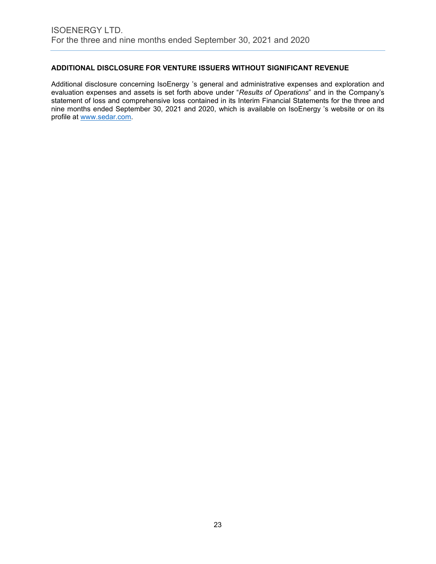# **ADDITIONAL DISCLOSURE FOR VENTURE ISSUERS WITHOUT SIGNIFICANT REVENUE**

Additional disclosure concerning IsoEnergy 's general and administrative expenses and exploration and evaluation expenses and assets is set forth above under "*Results of Operations*" and in the Company's statement of loss and comprehensive loss contained in its Interim Financial Statements for the three and nine months ended September 30, 2021 and 2020, which is available on IsoEnergy 's website or on its profile at www.sedar.com.